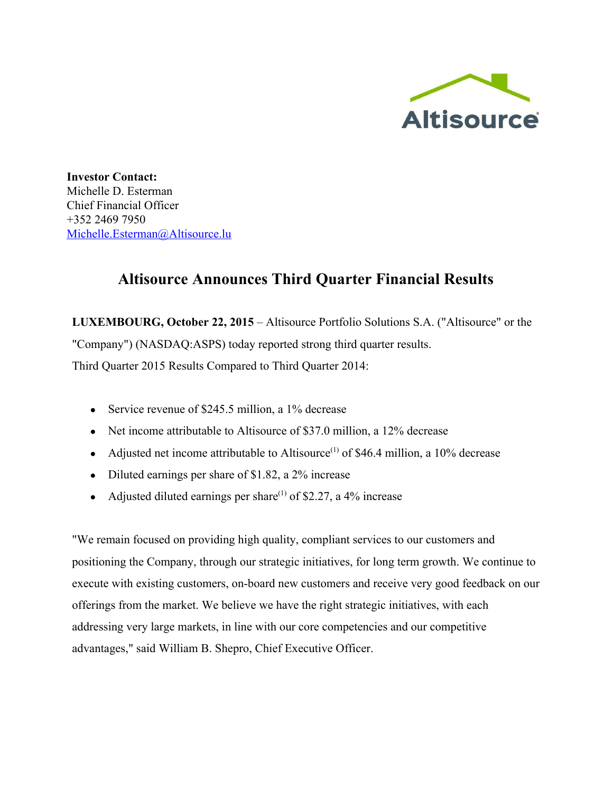

**Investor Contact:** Michelle D. Esterman Chief Financial Officer +352 2469 7950 [Michelle.Esterman@Altisource.lu](mailto:Michelle.Esterman@Altisource.lu)

# **Altisource Announces Third Quarter Financial Results**

**LUXEMBOURG, October 22, 2015**– Altisource Portfolio Solutions S.A. ("Altisource" or the "Company") (NASDAQ:ASPS) today reported strong third quarter results. Third Quarter 2015 Results Compared to Third Quarter 2014:

- Service revenue of \$245.5 million, a 1% decrease
- Net income attributable to Altisource of \$37.0 million, a 12% decrease
- Adjusted net income attributable to Altisource<sup>(1)</sup> of \$46.4 million, a 10% decrease
- Diluted earnings per share of \$1.82, a 2% increase
- Adjusted diluted earnings per share<sup>(1)</sup> of \$2.27, a 4% increase

"We remain focused on providing high quality, compliant services to our customers and positioning the Company, through our strategic initiatives, for long term growth. We continue to execute with existing customers, on-board new customers and receive very good feedback on our offerings from the market. We believe we have the right strategic initiatives, with each addressing very large markets, in line with our core competencies and our competitive advantages," said William B. Shepro, Chief Executive Officer.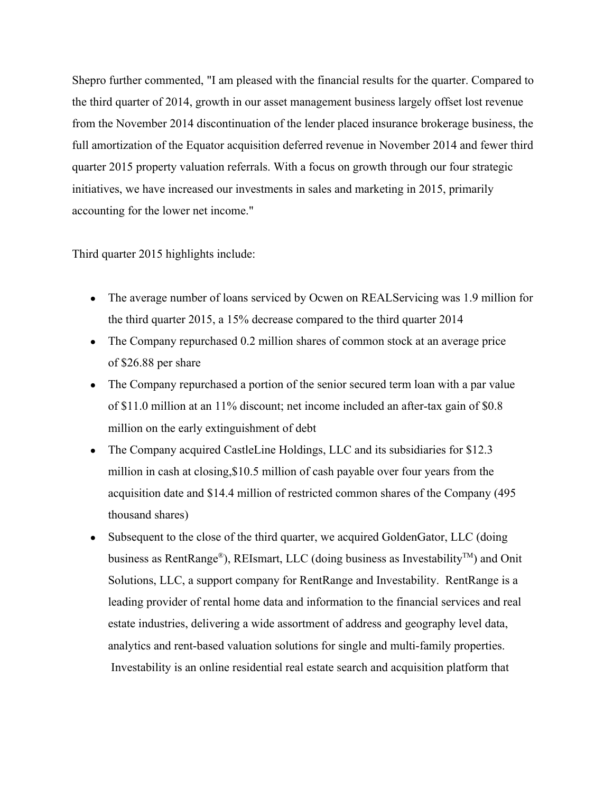Shepro further commented, "I am pleased with the financial results for the quarter. Compared to the third quarter of 2014, growth in our asset management business largely offset lost revenue from the November 2014 discontinuation of the lender placed insurance brokerage business, the full amortization of the Equator acquisition deferred revenue in November 2014 and fewer third quarter 2015 property valuation referrals. With a focus on growth through our four strategic initiatives, we have increased our investments in sales and marketing in 2015, primarily accounting for the lower net income."

Third quarter 2015 highlights include:

- The average number of loans serviced by Ocwen on REALServicing was 1.9 million for the third quarter 2015, a 15% decrease compared to the third quarter 2014
- The Company repurchased 0.2 million shares of common stock at an average price of \$26.88 per share
- The Company repurchased a portion of the senior secured term loan with a par value of \$11.0 million at an 11% discount; net income included an after-tax gain of \$0.8 million on the early extinguishment of debt
- The Company acquired CastleLine Holdings, LLC and its subsidiaries for \$12.3 million in cash at closing,\$10.5 million of cash payable over four years from the acquisition date and \$14.4 million of restricted common shares of the Company (495 thousand shares)
- Subsequent to the close of the third quarter, we acquired GoldenGator, LLC (doing business as RentRange®), REIsmart, LLC (doing business as Investability<sup>™</sup>) and Onit Solutions, LLC, a support company for RentRange and Investability. RentRange is a leading provider of rental home data and information to the financial services and real estate industries, delivering a wide assortment of address and geography level data, analytics and rent-based valuation solutions for single and multi-family properties. Investability is an online residential real estate search and acquisition platform that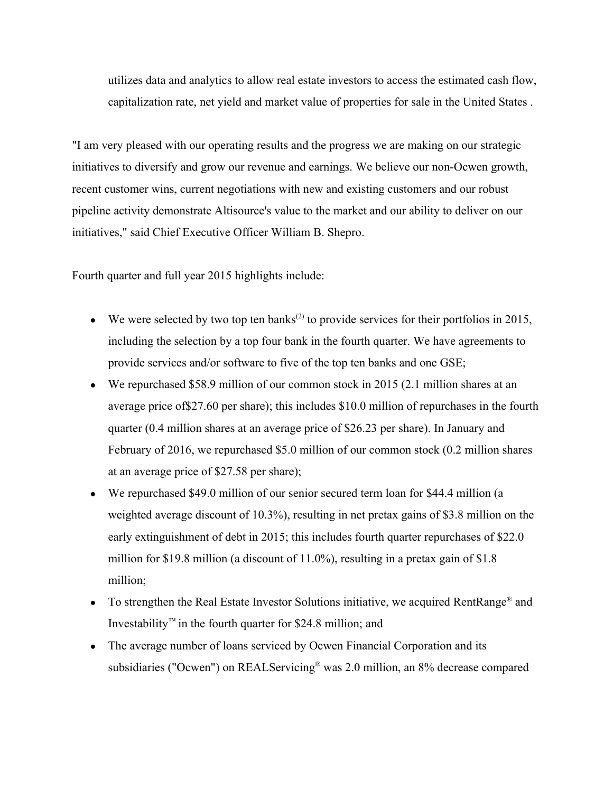utilizes data and analytics to allow real estate investors to access the estimated cash flow, capitalization rate, net yield and market value of properties for sale in the United States .

"I am very pleased with our operating results and the progress we are making on our strategic initiatives to diversify and grow our revenue and earnings. We believe our non-Ocwen growth, recent customer wins, current negotiations with new and existing customers and our robust pipeline activity demonstrate Altisource's value to the market and our ability to deliver on our initiatives," said Chief Executive Officer William B. Shepro.

Fourth quarter and full year 2015 highlights include:

- We were selected by two top ten banks<sup> $(2)$ </sup> to provide services for their portfolios in 2015, including the selection by a top four bank in the fourth quarter. We have agreements to provide services and/or software to five of the top ten banks and one GSE;
- We repurchased \$58.9 million of our common stock in 2015 (2.1 million shares at an average price of\$27.60 per share); this includes \$10.0 million of repurchases in the fourth quarter (0.4 million shares at an average price of \$26.23 per share). In January and February of 2016, we repurchased \$5.0 million of our common stock (0.2 million shares at an average price of \$27.58 per share);
- We repurchased \$49.0 million of our senior secured term loan for \$44.4 million (a weighted average discount of 10.3%), resulting in net pretax gains of \$3.8 million on the early extinguishment of debt in 2015; this includes fourth quarter repurchases of \$22.0 million for \$19.8 million (a discount of 11.0%), resulting in a pretax gain of \$1.8 million;
- To strengthen the Real Estate Investor Solutions initiative, we acquired RentRange<sup>®</sup> and Investability*™* in the fourth quarter for \$24.8 million; and
- The average number of loans serviced by Ocwen Financial Corporation and its subsidiaries ("Ocwen") on REALServicing ® was 2.0 million, an 8% decrease compared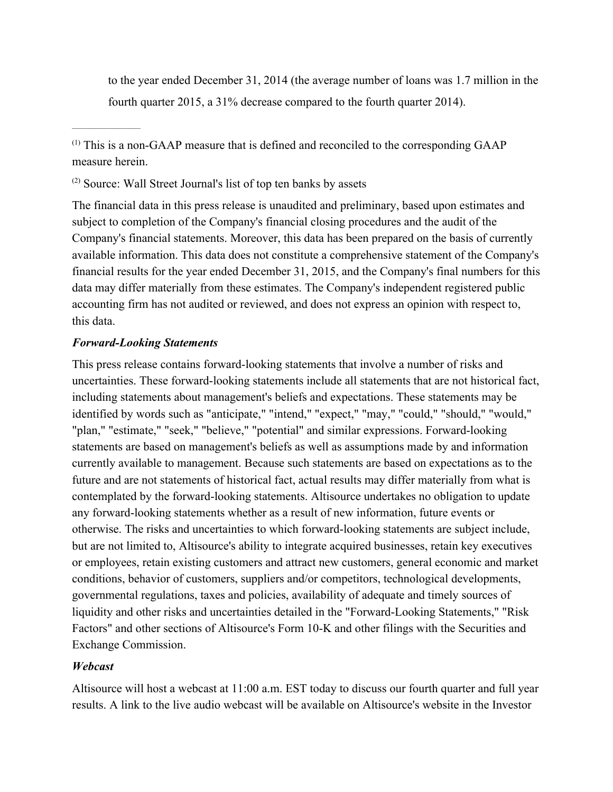to the year ended December 31, 2014 (the average number of loans was 1.7 million in the fourth quarter 2015, a 31% decrease compared to the fourth quarter 2014).

 $<sup>(1)</sup>$  This is a non-GAAP measure that is defined and reconciled to the corresponding GAAP</sup> measure herein.

(2) Source: Wall Street Journal's list of top ten banks by assets

The financial data in this press release is unaudited and preliminary, based upon estimates and subject to completion of the Company's financial closing procedures and the audit of the Company's financial statements. Moreover, this data has been prepared on the basis of currently available information. This data does not constitute a comprehensive statement of the Company's financial results for the year ended December 31, 2015, and the Company's final numbers for this data may differ materially from these estimates. The Company's independent registered public accounting firm has not audited or reviewed, and does not express an opinion with respect to, this data.

## *ForwardLooking Statements*

 $\mathcal{L}_\text{max}$ 

This press release contains forward-looking statements that involve a number of risks and uncertainties. These forward-looking statements include all statements that are not historical fact, including statements about management's beliefs and expectations. These statements may be identified by words such as "anticipate," "intend," "expect," "may," "could," "should," "would," "plan," "estimate," "seek," "believe," "potential" and similar expressions. Forward-looking statements are based on management's beliefs as well as assumptions made by and information currently available to management. Because such statements are based on expectations as to the future and are not statements of historical fact, actual results may differ materially from what is contemplated by the forward-looking statements. Altisource undertakes no obligation to update any forward-looking statements whether as a result of new information, future events or otherwise. The risks and uncertainties to which forward-looking statements are subject include, but are not limited to, Altisource's ability to integrate acquired businesses, retain key executives or employees, retain existing customers and attract new customers, general economic and market conditions, behavior of customers, suppliers and/or competitors, technological developments, governmental regulations, taxes and policies, availability of adequate and timely sources of liquidity and other risks and uncertainties detailed in the "Forward-Looking Statements," "Risk Factors" and other sections of Altisource's Form 10-K and other filings with the Securities and Exchange Commission.

# *Webcast*

Altisource will host a webcast at 11:00 a.m. EST today to discuss our fourth quarter and full year results. A link to the live audio webcast will be available on Altisource's website in the Investor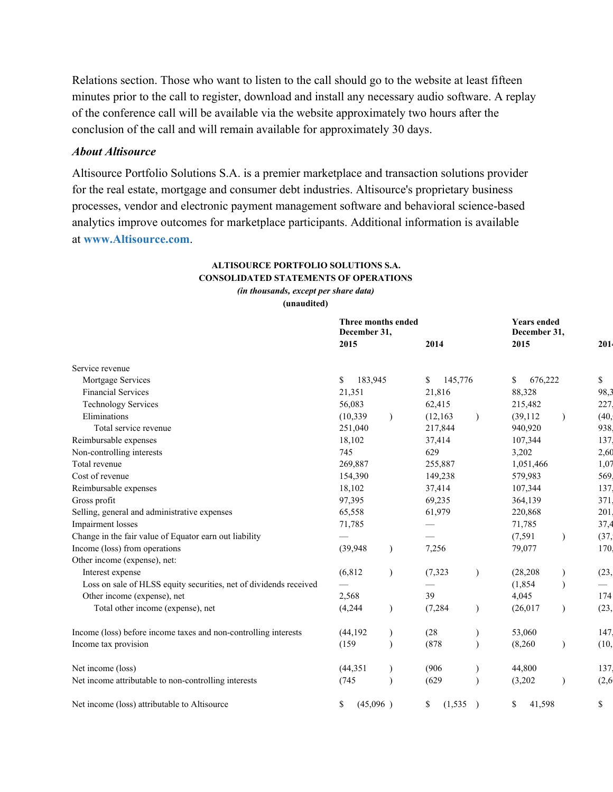Relations section. Those who want to listen to the call should go to the website at least fifteen minutes prior to the call to register, download and install any necessary audio software. A replay of the conference call will be available via the website approximately two hours after the conclusion of the call and will remain available for approximately 30 days.

### *About Altisource*

Altisource Portfolio Solutions S.A. is a premier marketplace and transaction solutions provider for the real estate, mortgage and consumer debt industries. Altisource's proprietary business processes, vendor and electronic payment management software and behavioral science-based analytics improve outcomes for marketplace participants. Additional information is available at **[www.Altisource.com](http://www.globenewswire.com/Tracker?data=10myk1X1or7mfzRx95p8QovvXnjpaj7OywbZ3V3N3g1zGjRJlfz-wxC-_oA5dBHUkinzfg9jnyIl2HodR1TJJm1uk9_iKtcVzXXB0-qEccw=)**.

### **ALTISOURCE PORTFOLIO SOLUTIONS S.A. CONSOLIDATED STATEMENTS OF OPERATIONS** *(in thousands, except per share data)*

**(unaudited)**

|                                                                   | Three months ended<br>December 31,<br>2015 |               | 2014           |           | <b>Years ended</b><br>December 31,<br>2015 |               | 201    |
|-------------------------------------------------------------------|--------------------------------------------|---------------|----------------|-----------|--------------------------------------------|---------------|--------|
| Service revenue                                                   |                                            |               |                |           |                                            |               |        |
| Mortgage Services                                                 | 183,945<br>\$                              |               | 145,776<br>\$  |           | \$<br>676,222                              |               | \$     |
| <b>Financial Services</b>                                         | 21,351                                     |               | 21,816         |           | 88,328                                     |               | 98,3   |
| <b>Technology Services</b>                                        | 56,083                                     |               | 62,415         |           | 215,482                                    |               | 227    |
| Eliminations                                                      | (10, 339)                                  | $\lambda$     | (12, 163)      | $\lambda$ | (39, 112)                                  | $\mathcal{E}$ | (40,   |
| Total service revenue                                             | 251,040                                    |               | 217,844        |           | 940,920                                    |               | 938    |
| Reimbursable expenses                                             | 18,102                                     |               | 37,414         |           | 107,344                                    |               | 137    |
| Non-controlling interests                                         | 745                                        |               | 629            |           | 3,202                                      |               | 2,60   |
| Total revenue                                                     | 269,887                                    |               | 255,887        |           | 1,051,466                                  |               | 1,07   |
| Cost of revenue                                                   | 154,390                                    |               | 149,238        |           | 579,983                                    |               | 569    |
| Reimbursable expenses                                             | 18,102                                     |               | 37,414         |           | 107,344                                    |               | 137    |
| Gross profit                                                      | 97,395                                     |               | 69,235         |           | 364,139                                    |               | 371    |
| Selling, general and administrative expenses                      | 65,558                                     |               | 61,979         |           | 220,868                                    |               | 201    |
| Impairment losses                                                 | 71,785                                     |               |                |           | 71,785                                     |               | 37,4   |
| Change in the fair value of Equator earn out liability            |                                            |               |                |           | (7, 591)                                   | $\mathcal{E}$ | (37,   |
| Income (loss) from operations                                     | (39, 948)                                  | $\mathcal{E}$ | 7,256          |           | 79,077                                     |               | 170    |
| Other income (expense), net:                                      |                                            |               |                |           |                                            |               |        |
| Interest expense                                                  | (6, 812)                                   | $\mathcal{E}$ | (7, 323)       |           | (28, 208)                                  |               | (23,   |
| Loss on sale of HLSS equity securities, net of dividends received |                                            |               |                |           | (1, 854)                                   |               |        |
| Other income (expense), net                                       | 2,568                                      |               | 39             |           | 4,045                                      |               | 174    |
| Total other income (expense), net                                 | (4,244)                                    |               | (7, 284)       |           | (26, 017)                                  | $\mathcal{E}$ | (23,   |
| Income (loss) before income taxes and non-controlling interests   | (44, 192)                                  |               | (28)           |           | 53,060                                     |               | 147    |
| Income tax provision                                              | (159)                                      |               | (878)          |           | (8,260)                                    |               | (10,   |
| Net income (loss)                                                 | (44, 351)                                  |               | (906)          |           | 44,800                                     |               | 137    |
| Net income attributable to non-controlling interests              | (745                                       |               | (629)          |           | (3,202)                                    |               | (2, 6) |
| Net income (loss) attributable to Altisource                      | (45,096)<br>\$                             |               | \$<br>(1, 535) |           | \$<br>41,598                               |               | \$     |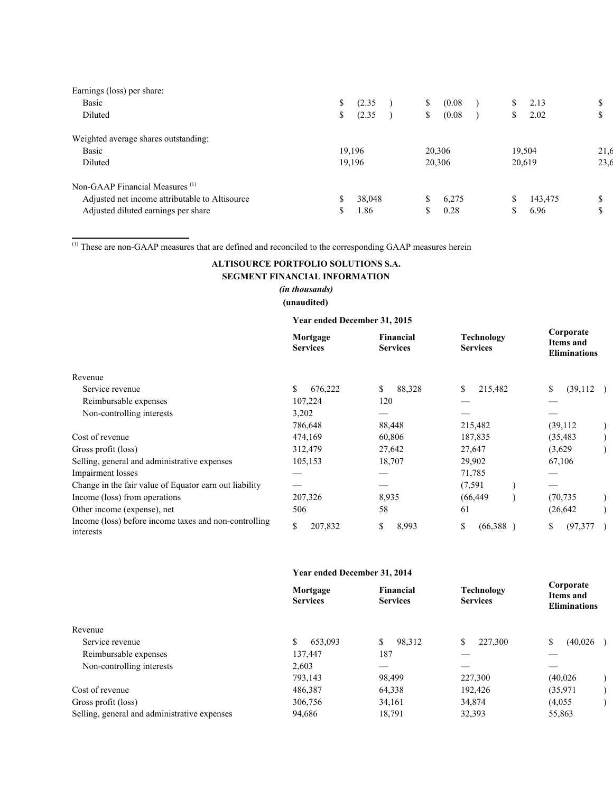| Earnings (loss) per share:                     |              |              |               |      |
|------------------------------------------------|--------------|--------------|---------------|------|
| <b>Basic</b>                                   | \$<br>(2.35) | (0.08)<br>\$ | S.<br>2.13    | Φ    |
| Diluted                                        | (2.35)<br>S. | (0.08)<br>\$ | 2.02<br>S     | Φ    |
| Weighted average shares outstanding:           |              |              |               |      |
| <b>Basic</b>                                   | 19,196       | 20,306       | 19,504        | 21,6 |
| Diluted                                        | 19,196       | 20,306       | 20,619        | 23.6 |
| Non-GAAP Financial Measures <sup>(1)</sup>     |              |              |               |      |
| Adjusted net income attributable to Altisource | 38,048       | 6,275<br>S   | \$<br>143,475 | D    |
| Adjusted diluted earnings per share            | .86          | 0.28         | 6.96          | Φ    |
|                                                |              |              |               |      |

 $<sup>(1)</sup>$  These are non-GAAP measures that are defined and reconciled to the corresponding GAAP measures herein</sup>

 $\mathcal{L}=\{1,2,3,4,5\}$ 

# **ALTISOURCE PORTFOLIO SOLUTIONS S.A. SEGMENT FINANCIAL INFORMATION**

### *(in thousands)* **(unaudited)**

### **Year ended December 31, 2015**

|                                                                    | Mortgage<br><b>Services</b> | <b>Financial</b><br><b>Services</b> | Technology<br><b>Services</b> | Corporate<br><b>Items and</b><br><b>Eliminations</b> |
|--------------------------------------------------------------------|-----------------------------|-------------------------------------|-------------------------------|------------------------------------------------------|
| Revenue                                                            |                             |                                     |                               |                                                      |
| Service revenue                                                    | 676,222<br>S                | 88,328<br>S                         | \$<br>215,482                 | (39,112)<br>\$                                       |
| Reimbursable expenses                                              | 107,224                     | 120                                 |                               |                                                      |
| Non-controlling interests                                          | 3,202                       |                                     |                               |                                                      |
|                                                                    | 786,648                     | 88,448                              | 215,482                       | (39, 112)                                            |
| Cost of revenue                                                    | 474,169                     | 60,806                              | 187,835                       | (35, 483)                                            |
| Gross profit (loss)                                                | 312,479                     | 27,642                              | 27,647                        | (3,629)                                              |
| Selling, general and administrative expenses                       | 105,153                     | 18,707                              | 29,902                        | 67,106                                               |
| Impairment losses                                                  |                             |                                     | 71,785                        |                                                      |
| Change in the fair value of Equator earn out liability             |                             |                                     | (7, 591)                      |                                                      |
| Income (loss) from operations                                      | 207,326                     | 8,935                               | (66, 449)                     | (70, 735)                                            |
| Other income (expense), net                                        | 506                         | 58                                  | 61                            | (26, 642)                                            |
| Income (loss) before income taxes and non-controlling<br>interests | \$<br>207,832               | \$<br>8,993                         | \$<br>(66,388)                | \$<br>(97, 377)                                      |

#### **Year ended December 31, 2014**

| Mortgage<br><b>Services</b> | Financial<br><b>Services</b> | Technology<br><b>Services</b> | Corporate<br>Items and<br><b>Eliminations</b> |
|-----------------------------|------------------------------|-------------------------------|-----------------------------------------------|
|                             |                              |                               |                                               |
| 653,093                     | 98,312<br>S.                 | 227,300<br>\$                 | \$<br>(40,026)                                |
| 137,447                     | 187                          |                               |                                               |
| 2.603                       |                              |                               |                                               |
| 793,143                     | 98,499                       | 227,300                       | (40,026)                                      |
| 486,387                     | 64,338                       | 192,426                       | (35,971)                                      |
| 306,756                     | 34,161                       | 34,874                        | (4.055)                                       |
| 94,686                      | 18,791                       | 32,393                        | 55,863                                        |
|                             |                              |                               |                                               |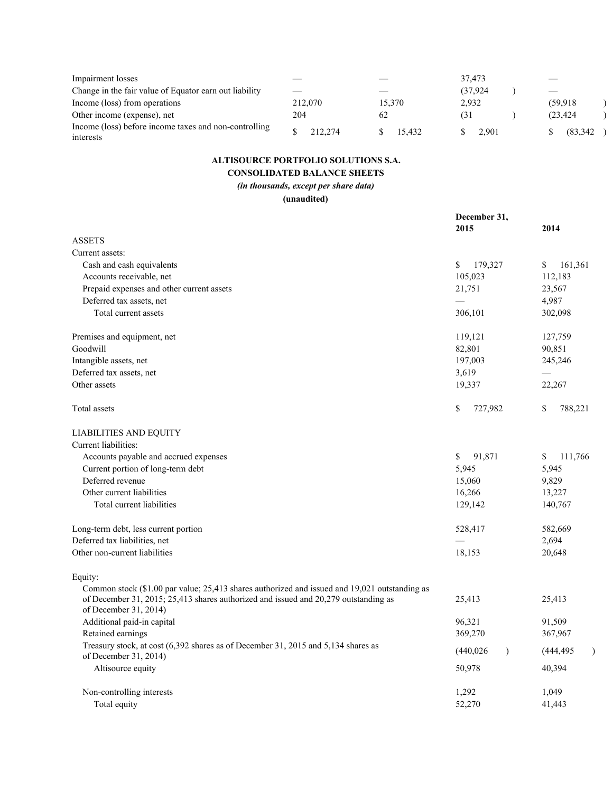| Impairment losses                                                  |         |        | 37.473   |                             |
|--------------------------------------------------------------------|---------|--------|----------|-----------------------------|
| Change in the fair value of Equator earn out liability             |         |        | (37.924) | $\overbrace{\hspace{15em}}$ |
| Income (loss) from operations                                      | 212,070 | 15.370 | 2,932    | (59.918)                    |
| Other income (expense), net                                        | 204     | 62     | (31      | (23.424)                    |
| Income (loss) before income taxes and non-controlling<br>interests | 212.274 | 15.432 | 2.901    | (83, 342)                   |

# **ALTISOURCE PORTFOLIO SOLUTIONS S.A.**

# **CONSOLIDATED BALANCE SHEETS**

*(in thousands, except per share data)*

**(unaudited)**

|                                                                                                                                                                                                                   | December 31,<br>2015        | 2014                        |
|-------------------------------------------------------------------------------------------------------------------------------------------------------------------------------------------------------------------|-----------------------------|-----------------------------|
| <b>ASSETS</b>                                                                                                                                                                                                     |                             |                             |
| Current assets:                                                                                                                                                                                                   |                             |                             |
| Cash and cash equivalents                                                                                                                                                                                         | \$<br>179,327               | \$<br>161,361               |
| Accounts receivable, net                                                                                                                                                                                          | 105,023                     | 112,183                     |
| Prepaid expenses and other current assets                                                                                                                                                                         | 21,751                      | 23,567                      |
| Deferred tax assets, net                                                                                                                                                                                          |                             | 4,987                       |
| Total current assets                                                                                                                                                                                              | 306,101                     | 302,098                     |
| Premises and equipment, net                                                                                                                                                                                       | 119,121                     | 127,759                     |
| Goodwill                                                                                                                                                                                                          | 82,801                      | 90,851                      |
| Intangible assets, net                                                                                                                                                                                            | 197,003                     | 245,246                     |
| Deferred tax assets, net                                                                                                                                                                                          | 3,619                       |                             |
| Other assets                                                                                                                                                                                                      | 19,337                      | 22,267                      |
| Total assets                                                                                                                                                                                                      | \$<br>727,982               | \$<br>788,221               |
| <b>LIABILITIES AND EQUITY</b>                                                                                                                                                                                     |                             |                             |
| Current liabilities:                                                                                                                                                                                              |                             |                             |
| Accounts payable and accrued expenses                                                                                                                                                                             | \$<br>91,871                | \$<br>111,766               |
| Current portion of long-term debt                                                                                                                                                                                 | 5,945                       | 5,945                       |
| Deferred revenue                                                                                                                                                                                                  | 15,060                      | 9,829                       |
| Other current liabilities                                                                                                                                                                                         | 16,266                      | 13,227                      |
| Total current liabilities                                                                                                                                                                                         | 129,142                     | 140,767                     |
| Long-term debt, less current portion                                                                                                                                                                              | 528,417                     | 582,669                     |
| Deferred tax liabilities, net                                                                                                                                                                                     |                             | 2,694                       |
| Other non-current liabilities                                                                                                                                                                                     | 18,153                      | 20,648                      |
| Equity:                                                                                                                                                                                                           |                             |                             |
| Common stock $(\$1.00$ par value; 25,413 shares authorized and issued and $19,021$ outstanding as<br>of December 31, 2015; 25,413 shares authorized and issued and 20,279 outstanding as<br>of December 31, 2014) | 25,413                      | 25,413                      |
| Additional paid-in capital                                                                                                                                                                                        | 96,321                      | 91,509                      |
| Retained earnings                                                                                                                                                                                                 | 369,270                     | 367,967                     |
| Treasury stock, at cost (6,392 shares as of December 31, 2015 and 5,134 shares as<br>of December 31, 2014)                                                                                                        | (440, 026)<br>$\mathcal{L}$ | (444, 495)<br>$\mathcal{E}$ |
| Altisource equity                                                                                                                                                                                                 | 50,978                      | 40,394                      |
| Non-controlling interests<br>Total equity                                                                                                                                                                         | 1,292<br>52,270             | 1,049<br>41,443             |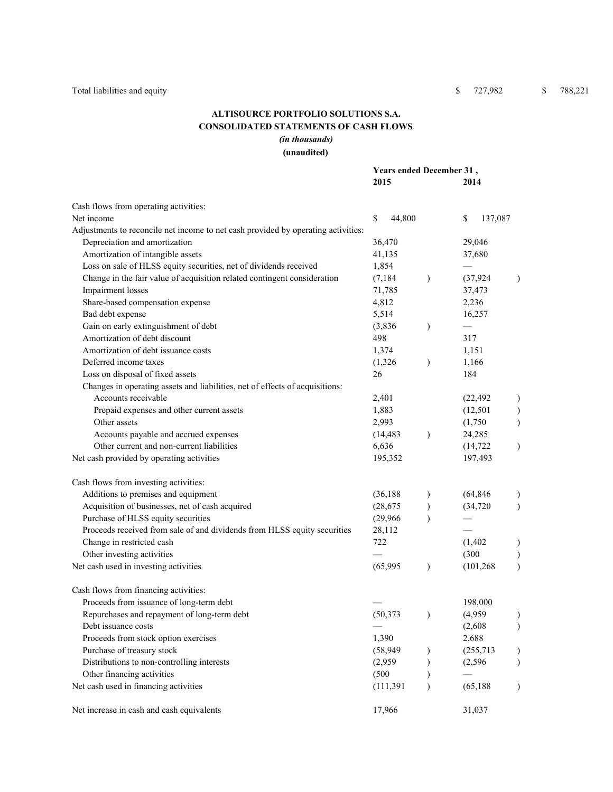## **ALTISOURCE PORTFOLIO SOLUTIONS S.A. CONSOLIDATED STATEMENTS OF CASH FLOWS** *(in thousands)*

### **(unaudited)**

|                                                                                   | Years ended December 31, |               |               |                  |
|-----------------------------------------------------------------------------------|--------------------------|---------------|---------------|------------------|
|                                                                                   | 2015                     |               | 2014          |                  |
| Cash flows from operating activities:                                             |                          |               |               |                  |
| Net income                                                                        | \$<br>44,800             |               | \$<br>137,087 |                  |
| Adjustments to reconcile net income to net cash provided by operating activities: |                          |               |               |                  |
| Depreciation and amortization                                                     | 36,470                   |               | 29,046        |                  |
| Amortization of intangible assets                                                 | 41,135                   |               | 37,680        |                  |
| Loss on sale of HLSS equity securities, net of dividends received                 | 1,854                    |               |               |                  |
| Change in the fair value of acquisition related contingent consideration          | (7, 184)                 | $\mathcal{L}$ | (37, 924)     | $\lambda$        |
| Impairment losses                                                                 | 71,785                   |               | 37,473        |                  |
| Share-based compensation expense                                                  | 4,812                    |               | 2,236         |                  |
| Bad debt expense                                                                  | 5,514                    |               | 16,257        |                  |
| Gain on early extinguishment of debt                                              | (3,836)                  | $\mathcal{E}$ |               |                  |
| Amortization of debt discount                                                     | 498                      |               | 317           |                  |
| Amortization of debt issuance costs                                               | 1,374                    |               | 1,151         |                  |
| Deferred income taxes                                                             | (1,326)                  | $\lambda$     | 1,166         |                  |
| Loss on disposal of fixed assets                                                  | 26                       |               | 184           |                  |
| Changes in operating assets and liabilities, net of effects of acquisitions:      |                          |               |               |                  |
| Accounts receivable                                                               | 2,401                    |               | (22, 492)     | $\lambda$        |
| Prepaid expenses and other current assets                                         | 1,883                    |               | (12, 501)     | $\mathcal{E}$    |
| Other assets                                                                      | 2,993                    |               | (1,750)       | $\mathcal{E}$    |
| Accounts payable and accrued expenses                                             | (14, 483)                | $\lambda$     | 24,285        |                  |
| Other current and non-current liabilities                                         | 6,636                    |               | (14, 722)     | $\mathcal{L}$    |
| Net cash provided by operating activities                                         | 195,352                  |               | 197,493       |                  |
| Cash flows from investing activities:                                             |                          |               |               |                  |
| Additions to premises and equipment                                               | (36, 188)                |               | (64, 846)     |                  |
| Acquisition of businesses, net of cash acquired                                   | (28, 675)                |               | (34, 720)     | $\lambda$        |
| Purchase of HLSS equity securities                                                | (29,966)                 |               |               |                  |
| Proceeds received from sale of and dividends from HLSS equity securities          | 28,112                   |               |               |                  |
| Change in restricted cash                                                         | 722                      |               | (1, 402)      |                  |
| Other investing activities                                                        |                          |               | (300)         | $\mathcal{E}$    |
| Net cash used in investing activities                                             | (65,995)                 | $\lambda$     | (101, 268)    | $\lambda$        |
| Cash flows from financing activities:                                             |                          |               |               |                  |
| Proceeds from issuance of long-term debt                                          |                          |               | 198,000       |                  |
| Repurchases and repayment of long-term debt                                       | (50, 373)                |               | (4,959)       | $\left( \right)$ |
| Debt issuance costs                                                               |                          |               | (2,608)       | $\mathcal{E}$    |
| Proceeds from stock option exercises                                              | 1,390                    |               | 2,688         |                  |
| Purchase of treasury stock                                                        | (58, 949)                |               | (255, 713)    | $\lambda$        |
| Distributions to non-controlling interests                                        | (2,959)                  |               | (2, 596)      | $\lambda$        |
| Other financing activities                                                        | (500)                    |               |               |                  |
| Net cash used in financing activities                                             | (111, 391)               |               | (65, 188)     | $\lambda$        |
| Net increase in cash and cash equivalents                                         | 17,966                   |               | 31,037        |                  |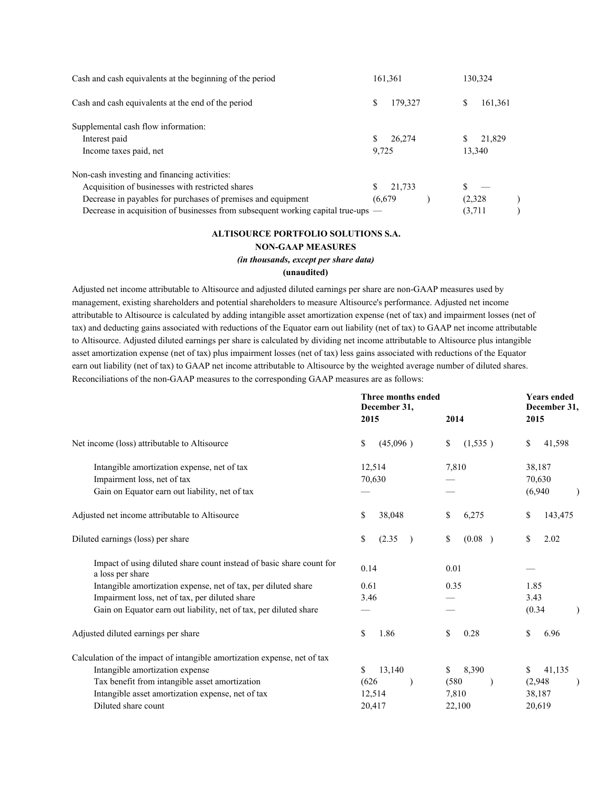| Cash and cash equivalents at the beginning of the period                         | 161,361      | 130,324      |
|----------------------------------------------------------------------------------|--------------|--------------|
| Cash and cash equivalents at the end of the period                               | 179,327<br>S | 161,361<br>S |
| Supplemental cash flow information:                                              |              |              |
| Interest paid                                                                    | 26,274       | 21,829       |
| Income taxes paid, net                                                           | 9.725        | 13,340       |
| Non-cash investing and financing activities:                                     |              |              |
| Acquisition of businesses with restricted shares                                 | 21,733<br>S  |              |
| Decrease in payables for purchases of premises and equipment                     | (6,679)      | (2,328)      |
| Decrease in acquisition of businesses from subsequent working capital true-ups — |              | (3,711)      |

#### **ALTISOURCE PORTFOLIO SOLUTIONS S.A.**

#### **NONGAAP MEASURES**

#### *(in thousands, except per share data)*

#### **(unaudited)**

Adjusted net income attributable to Altisource and adjusted diluted earnings per share are nonGAAP measures used by management, existing shareholders and potential shareholders to measure Altisource's performance. Adjusted net income attributable to Altisource is calculated by adding intangible asset amortization expense (net of tax) and impairment losses (net of tax) and deducting gains associated with reductions of the Equator earn out liability (net of tax) to GAAP net income attributable to Altisource. Adjusted diluted earnings per share is calculated by dividing net income attributable to Altisource plus intangible asset amortization expense (net of tax) plus impairment losses (net of tax) less gains associated with reductions of the Equator earn out liability (net of tax) to GAAP net income attributable to Altisource by the weighted average number of diluted shares. Reconciliations of the non-GAAP measures to the corresponding GAAP measures are as follows:

|                                                                                          | <b>Three months ended</b><br>December 31,<br>2015 | 2014          | <b>Years ended</b><br>December 31,<br>2015 |
|------------------------------------------------------------------------------------------|---------------------------------------------------|---------------|--------------------------------------------|
| Net income (loss) attributable to Altisource                                             | \$<br>(45,096)                                    | \$<br>(1,535) | \$<br>41,598                               |
| Intangible amortization expense, net of tax                                              | 12,514                                            | 7,810         | 38,187                                     |
| Impairment loss, net of tax                                                              | 70,630                                            |               | 70,630                                     |
| Gain on Equator earn out liability, net of tax                                           |                                                   |               | (6,940)                                    |
| Adjusted net income attributable to Altisource                                           | \$<br>38,048                                      | \$<br>6,275   | \$<br>143,475                              |
| Diluted earnings (loss) per share                                                        | \$<br>(2.35)<br>$\rightarrow$                     | \$<br>(0.08)  | \$<br>2.02                                 |
| Impact of using diluted share count instead of basic share count for<br>a loss per share | 0.14                                              | 0.01          |                                            |
| Intangible amortization expense, net of tax, per diluted share                           | 0.61                                              | 0.35          | 1.85                                       |
| Impairment loss, net of tax, per diluted share                                           | 3.46                                              |               | 3.43                                       |
| Gain on Equator earn out liability, net of tax, per diluted share                        |                                                   |               | (0.34)                                     |
| Adjusted diluted earnings per share                                                      | \$<br>1.86                                        | \$<br>0.28    | \$<br>6.96                                 |
| Calculation of the impact of intangible amortization expense, net of tax                 |                                                   |               |                                            |
| Intangible amortization expense                                                          | \$<br>13,140                                      | \$<br>8,390   | 41,135<br>\$                               |
| Tax benefit from intangible asset amortization                                           | (626)                                             | (580)         | (2,948)                                    |
| Intangible asset amortization expense, net of tax                                        | 12,514                                            | 7,810         | 38,187                                     |
| Diluted share count                                                                      | 20,417                                            | 22,100        | 20,619                                     |